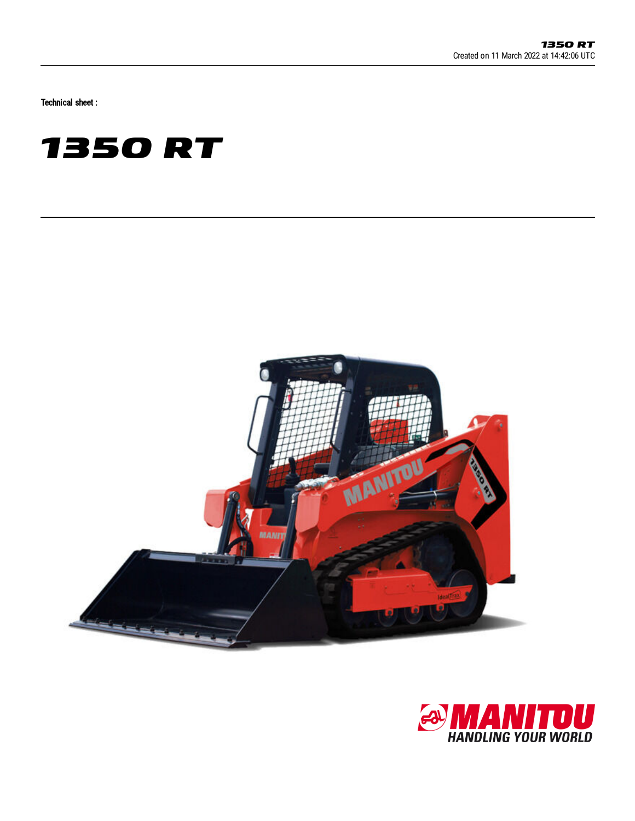Technical sheet :





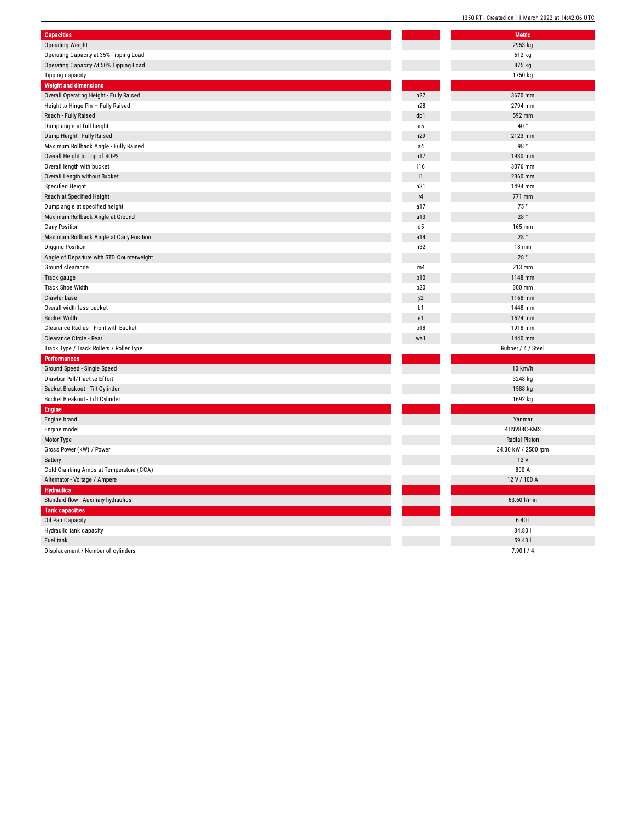| <b>Capacities</b>                                              |                | <b>Metric</b>        |
|----------------------------------------------------------------|----------------|----------------------|
| <b>Operating Weight</b>                                        |                | 2953 kg              |
| Operating Capacity at 35% Tipping Load                         |                | 612 kg               |
| Operating Capacity At 50% Tipping Load                         |                | 875 kg               |
| Tipping capacity                                               |                | 1750 kg              |
| <b>Weight and dimensions</b>                                   |                |                      |
| Overall Operating Height - Fully Raised                        | h27            | 3670 mm              |
| Height to Hinge Pin - Fully Raised                             | h28            | 2794 mm              |
| Reach - Fully Raised                                           | dp1            | 592 mm               |
| Dump angle at full height                                      | a <sub>5</sub> | 40°                  |
| Dump Height - Fully Raised                                     | h29            | 2123 mm              |
| Maximum Rollback Angle - Fully Raised                          | a4             | 98°                  |
| Overall Height to Top of ROPS                                  | h17            | 1930 mm              |
| Overall length with bucket                                     | <b>116</b>     | 3076 mm              |
| Overall Length without Bucket                                  | 1              | 2360 mm              |
| <b>Specified Height</b>                                        | h31            | 1494 mm              |
| Reach at Specified Height                                      | r4             | 771 mm               |
| Dump angle at specified height                                 | a17            | 75°                  |
| Maximum Rollback Angle at Ground                               | a13            | 28°                  |
| Carry Position                                                 | d5             | 165 mm               |
| Maximum Rollback Angle at Carry Position                       | a14            | 28°                  |
| <b>Digging Position</b>                                        | h32            | 18 mm                |
| Angle of Departure with STD Counterweight                      |                | 28°                  |
| Ground clearance                                               | m4             | 213 mm               |
| Track gauge                                                    | b10            | 1148 mm              |
| Track Shoe Width                                               | <b>b20</b>     | 300 mm               |
| Crawler base                                                   | y <sub>2</sub> | 1168 mm              |
| Overall width less bucket                                      | b1             | 1448 mm              |
| <b>Bucket Width</b>                                            | e1             | 1524 mm              |
| Clearance Radius - Front with Bucket                           | b18            | 1918 mm              |
| Clearance Circle - Rear                                        | wa1            | 1440 mm              |
| Track Type / Track Rollers / Roller Type                       |                | Rubber / 4 / Steel   |
| <b>Performances</b>                                            |                |                      |
| Ground Speed - Single Speed                                    |                | 10 km/h              |
| Drawbar Pull/Tractive Effort                                   |                | 3248 kg              |
| Bucket Breakout - Tilt Cylinder                                |                | 1588 kg              |
| Bucket Breakout - Lift Cylinder                                |                | 1692 kg              |
| <b>Engine</b>                                                  |                |                      |
| Engine brand                                                   |                | Yanmar               |
| Engine model                                                   |                | 4TNV88C-KMS          |
| Motor Type                                                     |                | <b>Radial Piston</b> |
| Gross Power (kW) / Power                                       |                | 34.30 kW / 2500 rp   |
| Battery                                                        |                | 12 V                 |
| Cold Cranking Amps at Temperature (CCA)                        |                | 800 A                |
| Alternator - Voltage / Ampere                                  |                | 12 V / 100 A         |
| <b>Hydraulics</b>                                              |                |                      |
|                                                                |                | 63.60 l/min          |
| Standard flow - Auxiliary hydraulics<br><b>Tank capacities</b> |                |                      |
|                                                                |                | 6.401                |
| Oil Pan Capacity                                               |                | 34.801               |
| Hydraulic tank capacity<br>Fuel tank                           |                | 59.40                |
| Displacement / Number of cylinders                             |                | 7.901/4              |
|                                                                |                |                      |

| <b>Metric</b>       |  |
|---------------------|--|
| 2953 kg<br>612 kg   |  |
| 875 kg              |  |
| 1750 kg             |  |
|                     |  |
| 3670 mm             |  |
| 2794 mm             |  |
| 592 mm              |  |
| 40°                 |  |
| 2123 mm             |  |
| 98 $\degree$        |  |
| 1930 mm             |  |
| 3076 mm             |  |
| 2360 mm             |  |
| 1494 mm             |  |
| 771 mm              |  |
| 75 $^{\circ}$       |  |
| 28 $^{\circ}$       |  |
| 165 mm              |  |
| 28°                 |  |
| <b>18 mm</b>        |  |
| 28°                 |  |
| 213 mm              |  |
| 1148 mm             |  |
| 300 mm              |  |
| 1168 mm             |  |
| 1448 mm             |  |
| 1524 mm             |  |
| 1918 mm             |  |
| 1440 mm             |  |
| Rubber / 4 / Steel  |  |
|                     |  |
| 10 km/h             |  |
| 3248 kg             |  |
| 1588 kg             |  |
| 1692 kg             |  |
|                     |  |
| Yanmar              |  |
| 4TNV88C-KMS         |  |
| Radial Piston       |  |
| 34.30 kW / 2500 rpm |  |
| 12V                 |  |
| 800 A               |  |
| 12 V / 100 A        |  |
|                     |  |
| 63.60 l/min         |  |
|                     |  |
| 6.401               |  |
|                     |  |
| 34.80               |  |
| 59.40  <br>7.901/4  |  |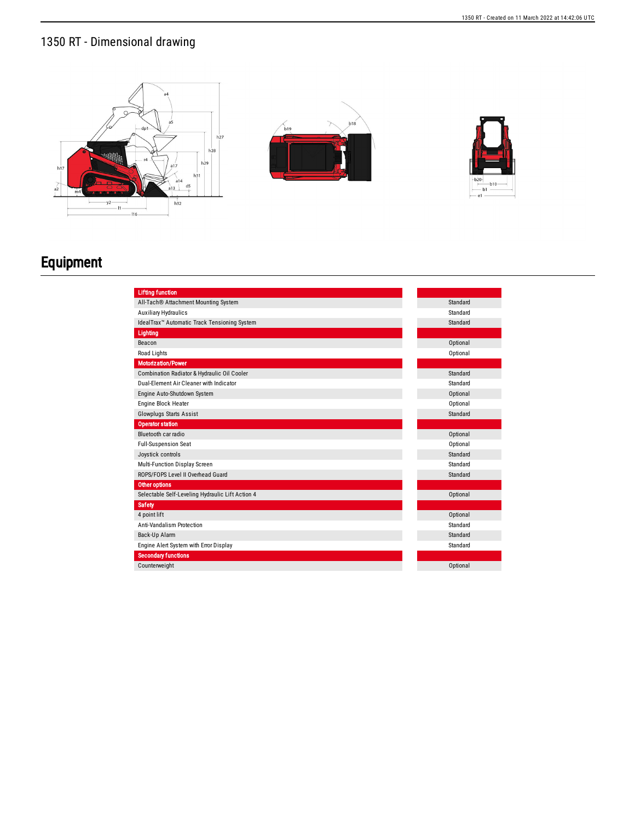





## Equipment

| <b>Lifting function</b>                                  |          |
|----------------------------------------------------------|----------|
| All-Tach® Attachment Mounting System                     | Standard |
| <b>Auxiliary Hydraulics</b>                              | Standard |
| IdealTrax <sup>™</sup> Automatic Track Tensioning System | Standard |
| Lighting                                                 |          |
| Beacon                                                   | Optional |
| Road Lights                                              | Optional |
| <b>Motorization/Power</b>                                |          |
| Combination Radiator & Hydraulic Oil Cooler              | Standard |
| Dual-Element Air Cleaner with Indicator                  | Standard |
| Engine Auto-Shutdown System                              | Optional |
| Engine Block Heater                                      | Optional |
| <b>Glowplugs Starts Assist</b>                           | Standard |
| <b>Operator station</b>                                  |          |
| Bluetooth car radio                                      | Optional |
| <b>Full-Suspension Seat</b>                              | Optional |
| Joystick controls                                        | Standard |
| Multi-Function Display Screen                            | Standard |
| ROPS/FOPS Level II Overhead Guard                        | Standard |
| Other options                                            |          |
| Selectable Self-Leveling Hydraulic Lift Action 4         | Optional |
| <b>Safety</b>                                            |          |
| 4 point lift                                             | Optional |
| <b>Anti-Vandalism Protection</b>                         | Standard |
| Back-Up Alarm                                            | Standard |
| Engine Alert System with Error Display                   | Standard |
| <b>Secondary functions</b>                               |          |
| Counterweight                                            | Optional |
|                                                          |          |